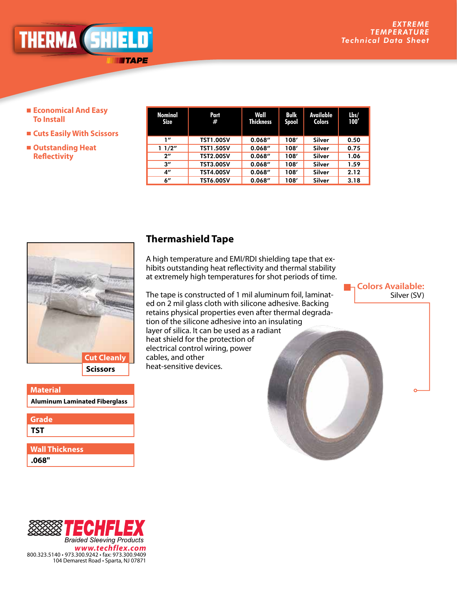

- **Economical And Easy To Install**
- **Cuts Easily With Scissors**
- **Outstanding Heat Reflectivity**

| 1″<br>Silver<br><b>TST1.00SV</b><br>0.068''<br>108'<br>0.50<br>0.068''<br>11/2"<br><b>TST1.50SV</b><br>Silver<br>108'<br>0.75 | <b>Nominal</b><br>Size | Part<br>#        | Wall<br><b>Thickness</b> | Bulk<br><b>Spool</b> | Available<br><b>Colors</b> | Lbs/<br>100' |
|-------------------------------------------------------------------------------------------------------------------------------|------------------------|------------------|--------------------------|----------------------|----------------------------|--------------|
|                                                                                                                               |                        |                  |                          |                      |                            |              |
|                                                                                                                               |                        |                  |                          |                      |                            |              |
| Silver<br>1.06                                                                                                                | $2^{\prime\prime}$     | <b>TST2.00SV</b> | 0.068''                  | 108'                 |                            |              |
| $3^{\prime\prime}$<br>0.068''<br><b>TST3.00SV</b><br>108'<br>Silver<br>1.59                                                   |                        |                  |                          |                      |                            |              |
| 0.068''<br><b>TST4.00SV</b><br>4"<br>108'<br>Silver<br>2.12                                                                   |                        |                  |                          |                      |                            |              |
| 0.068''<br>$6^{\prime\prime}$<br><b>TST6.00SV</b><br>108'<br>3.18<br>Silver                                                   |                        |                  |                          |                      |                            |              |



## **Aluminum Laminated Fiberglass Material**

**TST Grade**

**.068" Wall Thickness**

## **Thermashield Tape**

A high temperature and EMI/RDI shielding tape that exhibits outstanding heat reflectivity and thermal stability at extremely high temperatures for shot periods of time.

The tape is constructed of 1 mil aluminum foil, laminated on 2 mil glass cloth with silicone adhesive. Backing retains physical properties even after thermal degradation of the silicone adhesive into an insulating layer of silica. It can be used as a radiant heat shield for the protection of electrical control wiring, power cables, and other heat-sensitive devices.

**Colors Available:** Silver (SV)